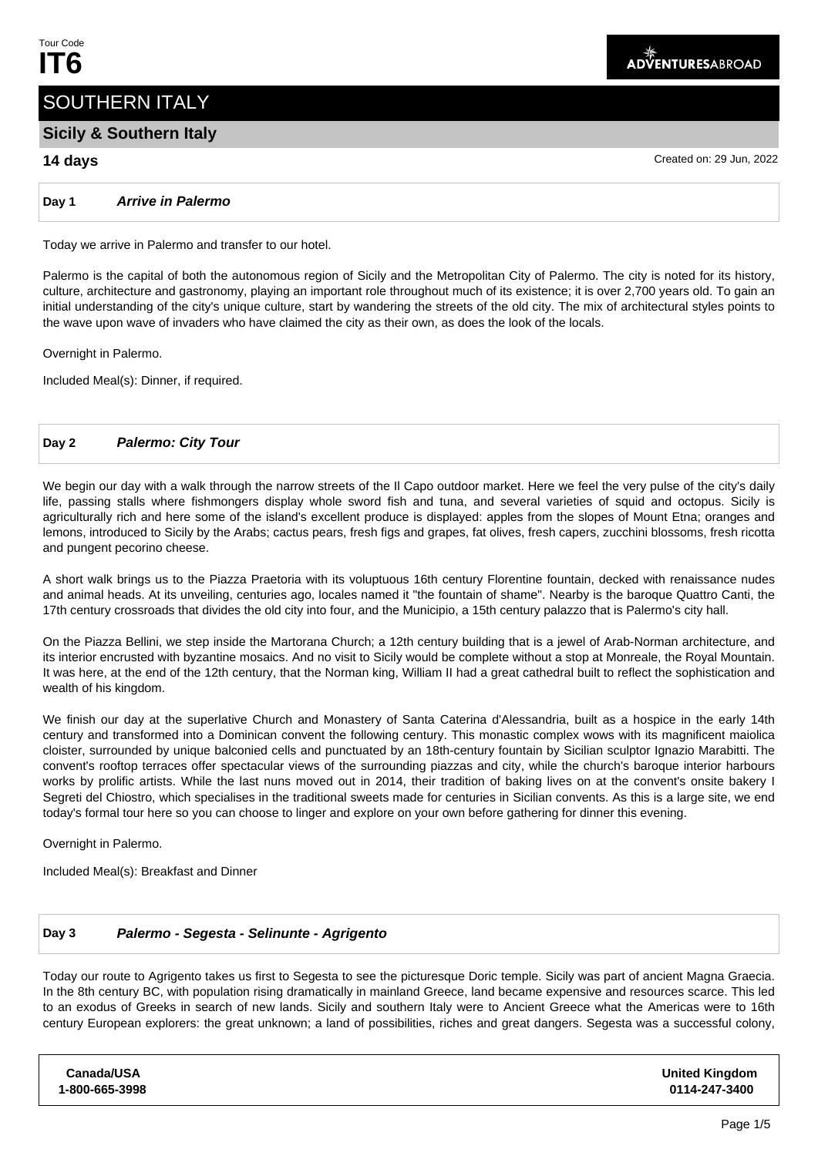# SOUTHERN ITALY

# **Sicily & Southern Italy**

# **14 days** Created on: 29 Jun, 2022

**Day 1 Arrive in Palermo**

Today we arrive in Palermo and transfer to our hotel.

Palermo is the capital of both the autonomous region of Sicily and the Metropolitan City of Palermo. The city is noted for its history, culture, architecture and gastronomy, playing an important role throughout much of its existence; it is over 2,700 years old. To gain an initial understanding of the city's unique culture, start by wandering the streets of the old city. The mix of architectural styles points to the wave upon wave of invaders who have claimed the city as their own, as does the look of the locals.

Overnight in Palermo.

Included Meal(s): Dinner, if required.

# **Day 2 Palermo: City Tour**

We begin our day with a walk through the narrow streets of the Il Capo outdoor market. Here we feel the very pulse of the city's daily life, passing stalls where fishmongers display whole sword fish and tuna, and several varieties of squid and octopus. Sicily is agriculturally rich and here some of the island's excellent produce is displayed: apples from the slopes of Mount Etna; oranges and lemons, introduced to Sicily by the Arabs; cactus pears, fresh figs and grapes, fat olives, fresh capers, zucchini blossoms, fresh ricotta and pungent pecorino cheese.

A short walk brings us to the Piazza Praetoria with its voluptuous 16th century Florentine fountain, decked with renaissance nudes and animal heads. At its unveiling, centuries ago, locales named it "the fountain of shame". Nearby is the baroque Quattro Canti, the 17th century crossroads that divides the old city into four, and the Municipio, a 15th century palazzo that is Palermo's city hall.

On the Piazza Bellini, we step inside the Martorana Church; a 12th century building that is a jewel of Arab-Norman architecture, and its interior encrusted with byzantine mosaics. And no visit to Sicily would be complete without a stop at Monreale, the Royal Mountain. It was here, at the end of the 12th century, that the Norman king, William II had a great cathedral built to reflect the sophistication and wealth of his kingdom.

We finish our day at the superlative Church and Monastery of Santa Caterina d'Alessandria, built as a hospice in the early 14th century and transformed into a Dominican convent the following century. This monastic complex wows with its magnificent maiolica cloister, surrounded by unique balconied cells and punctuated by an 18th-century fountain by Sicilian sculptor Ignazio Marabitti. The convent's rooftop terraces offer spectacular views of the surrounding piazzas and city, while the church's baroque interior harbours works by prolific artists. While the last nuns moved out in 2014, their tradition of baking lives on at the convent's onsite bakery I Segreti del Chiostro, which specialises in the traditional sweets made for centuries in Sicilian convents. As this is a large site, we end today's formal tour here so you can choose to linger and explore on your own before gathering for dinner this evening.

Overnight in Palermo.

Included Meal(s): Breakfast and Dinner

# **Day 3 Palermo - Segesta - Selinunte - Agrigento**

Today our route to Agrigento takes us first to Segesta to see the picturesque Doric temple. Sicily was part of ancient Magna Graecia. In the 8th century BC, with population rising dramatically in mainland Greece, land became expensive and resources scarce. This led to an exodus of Greeks in search of new lands. Sicily and southern Italy were to Ancient Greece what the Americas were to 16th century European explorers: the great unknown; a land of possibilities, riches and great dangers. Segesta was a successful colony,

**Canada/USA 1-800-665-3998**

**United Kingdom 0114-247-3400**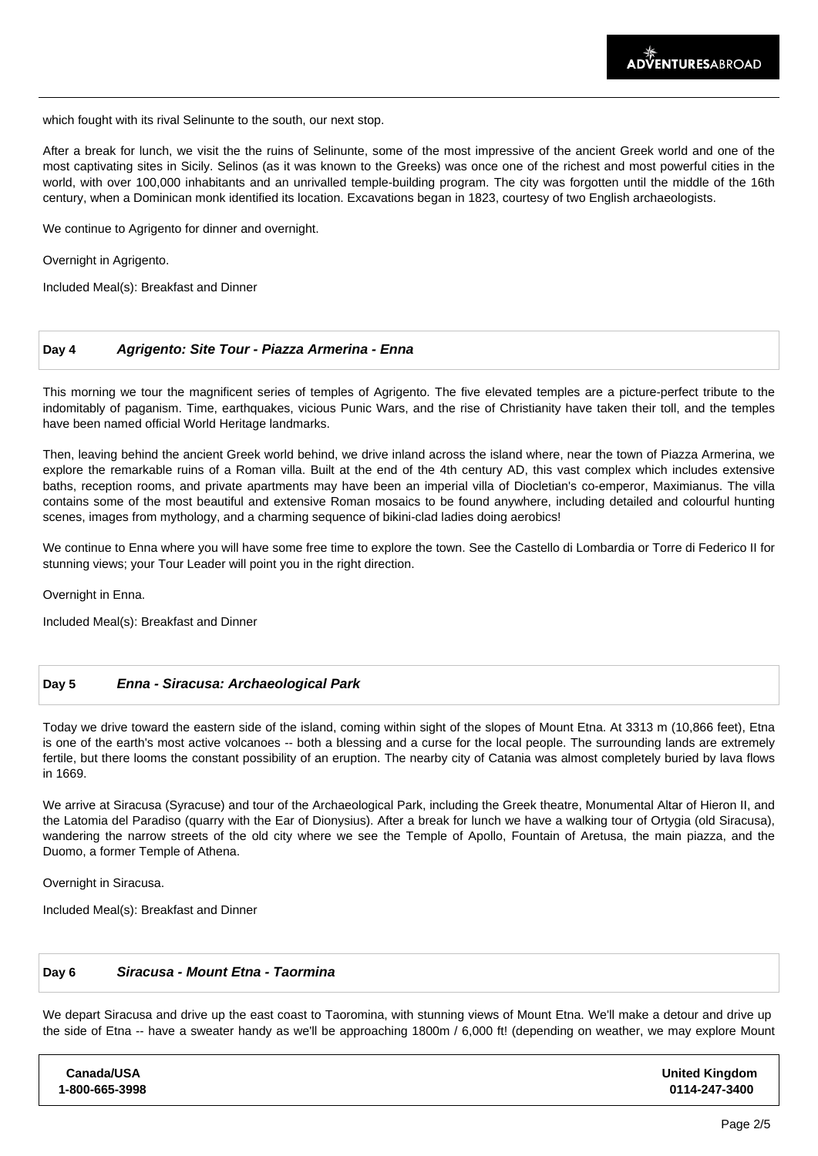which fought with its rival Selinunte to the south, our next stop.

After a break for lunch, we visit the the ruins of Selinunte, some of the most impressive of the ancient Greek world and one of the most captivating sites in Sicily. Selinos (as it was known to the Greeks) was once one of the richest and most powerful cities in the world, with over 100,000 inhabitants and an unrivalled temple-building program. The city was forgotten until the middle of the 16th century, when a Dominican monk identified its location. Excavations began in 1823, courtesy of two English archaeologists.

We continue to Agrigento for dinner and overnight.

Overnight in Agrigento.

Included Meal(s): Breakfast and Dinner

#### **Day 4 Agrigento: Site Tour - Piazza Armerina - Enna**

This morning we tour the magnificent series of temples of Agrigento. The five elevated temples are a picture-perfect tribute to the indomitably of paganism. Time, earthquakes, vicious Punic Wars, and the rise of Christianity have taken their toll, and the temples have been named official World Heritage landmarks.

Then, leaving behind the ancient Greek world behind, we drive inland across the island where, near the town of Piazza Armerina, we explore the remarkable ruins of a Roman villa. Built at the end of the 4th century AD, this vast complex which includes extensive baths, reception rooms, and private apartments may have been an imperial villa of Diocletian's co-emperor, Maximianus. The villa contains some of the most beautiful and extensive Roman mosaics to be found anywhere, including detailed and colourful hunting scenes, images from mythology, and a charming sequence of bikini-clad ladies doing aerobics!

We continue to Enna where you will have some free time to explore the town. See the Castello di Lombardia or Torre di Federico II for stunning views; your Tour Leader will point you in the right direction.

Overnight in Enna.

Included Meal(s): Breakfast and Dinner

#### **Day 5 Enna - Siracusa: Archaeological Park**

Today we drive toward the eastern side of the island, coming within sight of the slopes of Mount Etna. At 3313 m (10,866 feet), Etna is one of the earth's most active volcanoes -- both a blessing and a curse for the local people. The surrounding lands are extremely fertile, but there looms the constant possibility of an eruption. The nearby city of Catania was almost completely buried by lava flows in 1669.

We arrive at Siracusa (Syracuse) and tour of the Archaeological Park, including the Greek theatre, Monumental Altar of Hieron II, and the Latomia del Paradiso (quarry with the Ear of Dionysius). After a break for lunch we have a walking tour of Ortygia (old Siracusa), wandering the narrow streets of the old city where we see the Temple of Apollo, Fountain of Aretusa, the main piazza, and the Duomo, a former Temple of Athena.

Overnight in Siracusa.

Included Meal(s): Breakfast and Dinner

### **Day 6 Siracusa - Mount Etna - Taormina**

We depart Siracusa and drive up the east coast to Taoromina, with stunning views of Mount Etna. We'll make a detour and drive up the side of Etna -- have a sweater handy as we'll be approaching 1800m / 6,000 ft! (depending on weather, we may explore Mount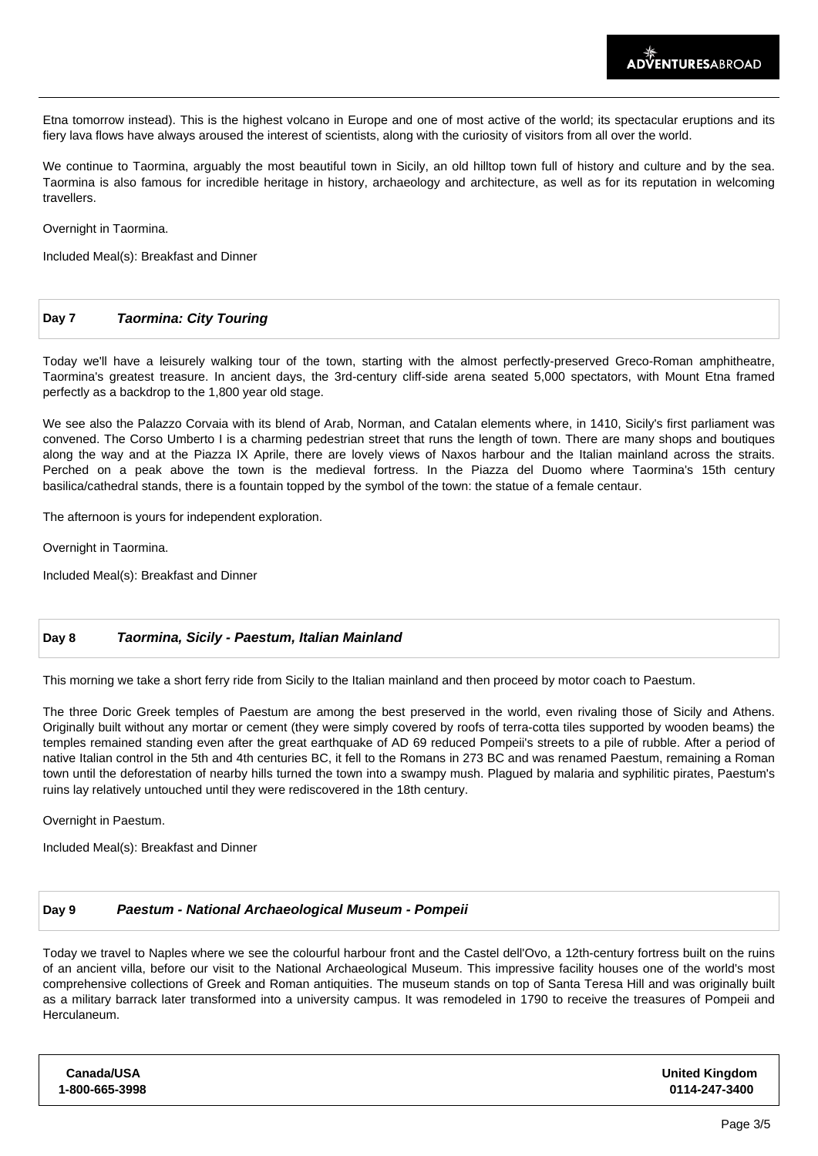Etna tomorrow instead). This is the highest volcano in Europe and one of most active of the world; its spectacular eruptions and its fiery lava flows have always aroused the interest of scientists, along with the curiosity of visitors from all over the world.

We continue to Taormina, arguably the most beautiful town in Sicily, an old hilltop town full of history and culture and by the sea. Taormina is also famous for incredible heritage in history, archaeology and architecture, as well as for its reputation in welcoming travellers.

Overnight in Taormina.

Included Meal(s): Breakfast and Dinner

### **Day 7 Taormina: City Touring**

Today we'll have a leisurely walking tour of the town, starting with the almost perfectly-preserved Greco-Roman amphitheatre, Taormina's greatest treasure. In ancient days, the 3rd-century cliff-side arena seated 5,000 spectators, with Mount Etna framed perfectly as a backdrop to the 1,800 year old stage.

We see also the Palazzo Corvaia with its blend of Arab, Norman, and Catalan elements where, in 1410, Sicily's first parliament was convened. The Corso Umberto I is a charming pedestrian street that runs the length of town. There are many shops and boutiques along the way and at the Piazza IX Aprile, there are lovely views of Naxos harbour and the Italian mainland across the straits. Perched on a peak above the town is the medieval fortress. In the Piazza del Duomo where Taormina's 15th century basilica/cathedral stands, there is a fountain topped by the symbol of the town: the statue of a female centaur.

The afternoon is yours for independent exploration.

Overnight in Taormina.

Included Meal(s): Breakfast and Dinner

### **Day 8 Taormina, Sicily - Paestum, Italian Mainland**

This morning we take a short ferry ride from Sicily to the Italian mainland and then proceed by motor coach to Paestum.

The three Doric Greek temples of Paestum are among the best preserved in the world, even rivaling those of Sicily and Athens. Originally built without any mortar or cement (they were simply covered by roofs of terra-cotta tiles supported by wooden beams) the temples remained standing even after the great earthquake of AD 69 reduced Pompeii's streets to a pile of rubble. After a period of native Italian control in the 5th and 4th centuries BC, it fell to the Romans in 273 BC and was renamed Paestum, remaining a Roman town until the deforestation of nearby hills turned the town into a swampy mush. Plagued by malaria and syphilitic pirates, Paestum's ruins lay relatively untouched until they were rediscovered in the 18th century.

Overnight in Paestum.

Included Meal(s): Breakfast and Dinner

### **Day 9 Paestum - National Archaeological Museum - Pompeii**

Today we travel to Naples where we see the colourful harbour front and the Castel dell'Ovo, a 12th-century fortress built on the ruins of an ancient villa, before our visit to the National Archaeological Museum. This impressive facility houses one of the world's most comprehensive collections of Greek and Roman antiquities. The museum stands on top of Santa Teresa Hill and was originally built as a military barrack later transformed into a university campus. It was remodeled in 1790 to receive the treasures of Pompeii and Herculaneum.

| Canada/USA     | <b>United Kingdom</b> |
|----------------|-----------------------|
| 1-800-665-3998 | 0114-247-3400         |
|                |                       |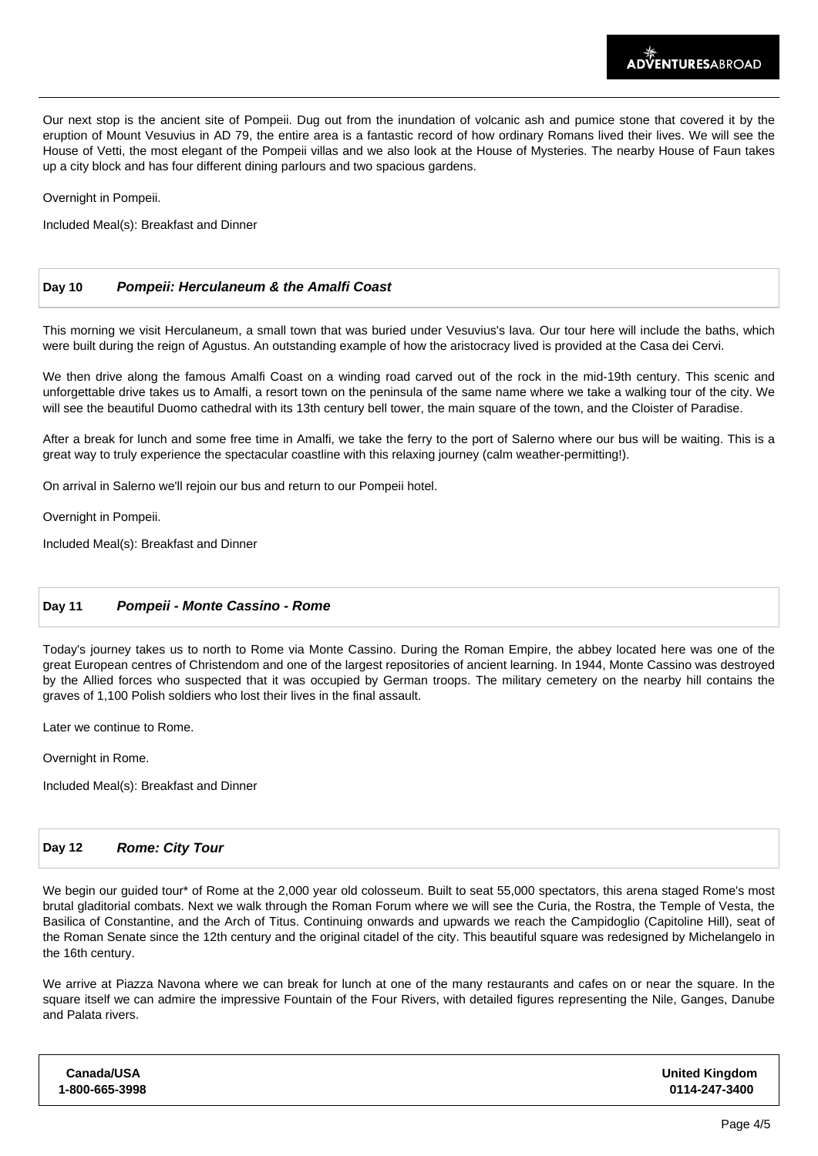Our next stop is the ancient site of Pompeii. Dug out from the inundation of volcanic ash and pumice stone that covered it by the eruption of Mount Vesuvius in AD 79, the entire area is a fantastic record of how ordinary Romans lived their lives. We will see the House of Vetti, the most elegant of the Pompeii villas and we also look at the House of Mysteries. The nearby House of Faun takes up a city block and has four different dining parlours and two spacious gardens.

Overnight in Pompeii.

Included Meal(s): Breakfast and Dinner

### **Day 10 Pompeii: Herculaneum & the Amalfi Coast**

This morning we visit Herculaneum, a small town that was buried under Vesuvius's lava. Our tour here will include the baths, which were built during the reign of Agustus. An outstanding example of how the aristocracy lived is provided at the Casa dei Cervi.

We then drive along the famous Amalfi Coast on a winding road carved out of the rock in the mid-19th century. This scenic and unforgettable drive takes us to Amalfi, a resort town on the peninsula of the same name where we take a walking tour of the city. We will see the beautiful Duomo cathedral with its 13th century bell tower, the main square of the town, and the Cloister of Paradise.

After a break for lunch and some free time in Amalfi, we take the ferry to the port of Salerno where our bus will be waiting. This is a great way to truly experience the spectacular coastline with this relaxing journey (calm weather-permitting!).

On arrival in Salerno we'll rejoin our bus and return to our Pompeii hotel.

Overnight in Pompeii.

Included Meal(s): Breakfast and Dinner

## **Day 11 Pompeii - Monte Cassino - Rome**

Today's journey takes us to north to Rome via Monte Cassino. During the Roman Empire, the abbey located here was one of the great European centres of Christendom and one of the largest repositories of ancient learning. In 1944, Monte Cassino was destroyed by the Allied forces who suspected that it was occupied by German troops. The military cemetery on the nearby hill contains the graves of 1,100 Polish soldiers who lost their lives in the final assault.

Later we continue to Rome.

Overnight in Rome.

Included Meal(s): Breakfast and Dinner

#### **Day 12 Rome: City Tour**

We begin our guided tour<sup>\*</sup> of Rome at the 2,000 year old colosseum. Built to seat 55,000 spectators, this arena staged Rome's most brutal gladitorial combats. Next we walk through the Roman Forum where we will see the Curia, the Rostra, the Temple of Vesta, the Basilica of Constantine, and the Arch of Titus. Continuing onwards and upwards we reach the Campidoglio (Capitoline Hill), seat of the Roman Senate since the 12th century and the original citadel of the city. This beautiful square was redesigned by Michelangelo in the 16th century.

We arrive at Piazza Navona where we can break for lunch at one of the many restaurants and cafes on or near the square. In the square itself we can admire the impressive Fountain of the Four Rivers, with detailed figures representing the Nile, Ganges, Danube and Palata rivers.

| Canada/USA     | <b>United Kingdom</b> |
|----------------|-----------------------|
| 1-800-665-3998 | 0114-247-3400         |